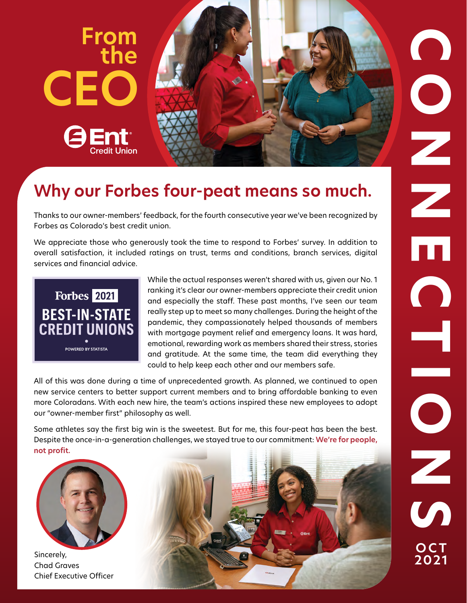

# **Why our Forbes four-peat means so much.**

Thanks to our owner-members' feedback, for the fourth consecutive year we've been recognized by Forbes as Colorado's best credit union.

 We appreciate those who generously took the time to respond to Forbes' survey. In addition to overall satisfaction, it included ratings on trust, terms and conditions, branch services, digital services and financial advice.



 ranking it's clear our owner-members appreciate their credit union While the actual responses weren't shared with us, given our No. 1 and especially the staff. These past months, I've seen our team really step up to meet so many challenges. During the height of the pandemic, they compassionately helped thousands of members with mortgage payment relief and emergency loans. It was hard, emotional, rewarding work as members shared their stress, stories and gratitude. At the same time, the team did everything they could to help keep each other and our members safe.

All of this was done during a time of unprecedented growth. As planned, we continued to open new service centers to better support current members and to bring affordable banking to even more Coloradans. With each new hire, the team's actions inspired these new employees to adopt our "owner-member first" philosophy as well.

Some athletes say the first big win is the sweetest. But for me, this four-peat has been the best. Despite the once-in-a-generation challenges, we stayed true to our commitment: **We're for people, not profit.** 



Sincerely, Chad Graves Chief Executive Officer